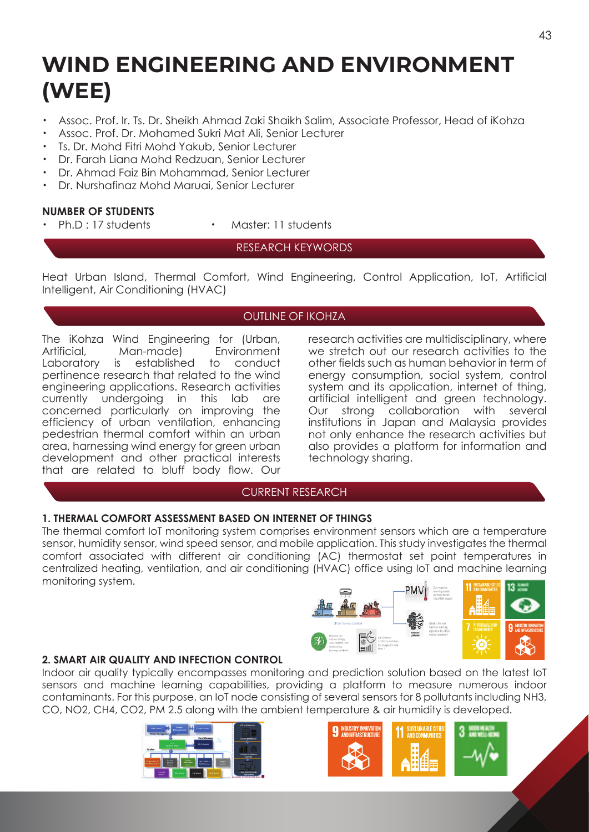# **WIND ENGINEERING AND ENVIRONMENT (WEE)**

- ・ Assoc. Prof. Ir. Ts. Dr. Sheikh Ahmad Zaki Shaikh Salim, Associate Professor, Head of iKohza
- Assoc. Prof. Dr. Mohamed Sukri Mat Ali, Senior Lecturer
- Ts. Dr. Mohd Fitri Mohd Yakub, Senior Lecturer
- Dr. Farah Liana Mohd Redzuan, Senior Lecturer
- ・ Dr. Ahmad Faiz Bin Mohammad, Senior Lecturer
- ・ Dr. Nurshafinaz Mohd Maruai, Senior Lecturer

# **NUMBER OF STUDENTS**

- 
- Ph.D : 17 students · Master: 11 students

# RESEARCH KEYWORDS

Heat Urban Island, Thermal Comfort, Wind Engineering, Control Application, IoT, Artificial Intelligent, Air Conditioning (HVAC)

# OUTLINE OF IKOHZA

The iKohza Wind Engineering for (Urban,<br>Artificial. Man-made) Fnvironment Artificial, Man-made)<br>Laboratory is establishe established to conduct pertinence research that related to the wind engineering applications. Research activities currently undergoing in this lab are concerned particularly on improving the efficiency of urban ventilation, enhancing pedestrian thermal comfort within an urban area, harnessing wind energy for green urban development and other practical interests that are related to bluff body flow. Our

research activities are multidisciplinary, where we stretch out our research activities to the other fields such as human behavior in term of energy consumption, social system, control system and its application, internet of thing, artificial intelligent and green technology. Our strong collaboration with several institutions in Japan and Malaysia provides not only enhance the research activities but also provides a platform for information and technology sharing.

# CURRENT RESEARCH

# **1. THERMAL COMFORT ASSESSMENT BASED ON INTERNET OF THINGS**

The thermal comfort IoT monitoring system comprises environment sensors which are a temperature sensor, humidity sensor, wind speed sensor, and mobile application. This study investigates the thermal comfort associated with different air conditioning (AC) thermostat set point temperatures in centralized heating, ventilation, and air conditioning (HVAC) office using IoT and machine learning monitoring system.



# **2. SMART AIR QUALITY AND INFECTION CONTROL**

Indoor air quality typically encompasses monitoring and prediction solution based on the latest IoT sensors and machine learning capabilities, providing a platform to measure numerous indoor contaminants. For this purpose, an IoT node consisting of several sensors for 8 pollutants including NH3, CO, NO2, CH4, CO2, PM 2.5 along with the ambient temperature & air humidity is developed.